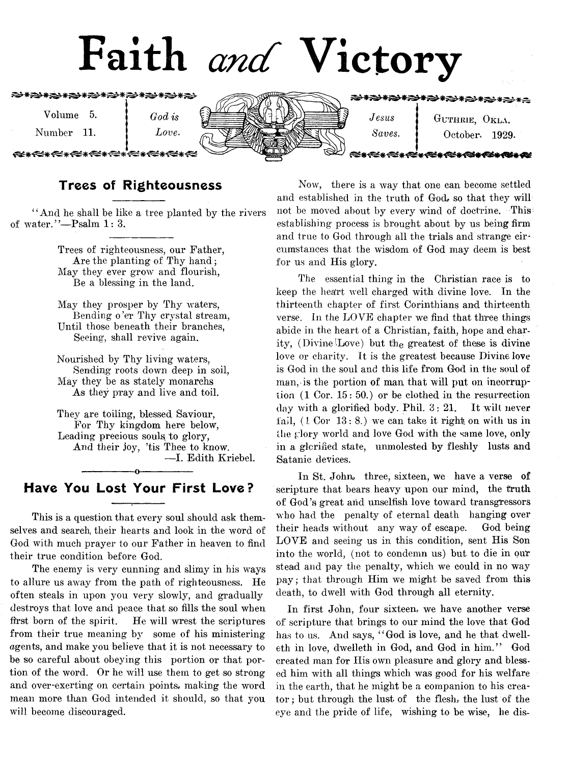

## Trees of Righteousness

" And he shall be like a tree planted by the rivers of water."-Psalm 1: 3.

> Trees of righteousness, our Father, Are the planting of Thy hand; May they ever grow and flourish, Be a blessing in the land.

May they prosper by Thy waters, Bending o'er Thy crystal stream, Until those beneath their branches, Seeing, shall revive again.

Nourished by Thy living waters, Sending roots down deep in soil, May they be as stately monarehs As they pray and live and toil.

They are toiling, blessed Saviour, For Thy kingdom here below, Leading precious souls to glory, And their joy, 'tis Thee to know. — I. Edith Kriebel. ---------------- o-----------------

## Have You Lost Your First Love?

This is a question that every soul should ask themselves and search, their hearts and look in the word of God with much prayer to our Father in heaven to find their true condition before God.

The enemy is very cunning and slimy in his ways to allure us away from the path of righteousness. He often steals in upon you very slowly, and gradually destroys that love and peace that so fills the soul when first born of the spirit. He will wrest the scriptures from their true meaning by some of his ministering agents, and make you believe that it is not necessary to be so careful about obeying this portion or that portion of the word. Or he will use them to get so strong and over-exerting on certain points, making the word mean more than God intended it should, so that you will become discouraged.

Now, there is a way that one can become settled and established in the truth of God, so that they will not be moved about by every wind of doctrine. This establishing process is brought about by us being firm and true to God through all the trials and strange circumstances that the wisdom of God may deem is best for us and His glory.

The essential thing in the Christian race is to keep the heart well charged with divine love. In the thirteenth chapter of first Corinthians and thirteenth verse, in the LOVE chapter we find that three things abide in the heart of a Christian, faith, hope and charity, (Divine'Love) but the greatest of these is divine love or charity. It is the greatest because Divine love is God in the soul and this life from God in the soul of man, is the portion of man that will put on ineorruption (1 Cor. 15: 50.) or be clothed in the resurrection day with a glorified body. Phil. 3: 21. It will never fail,  $(1 \text{ Cor } 13: 8)$  we can take it right on with us in the glory world and love God with the same love, only in a glorified state, unmolested by fleshly lusts and Satanic devices.

In St. John, three, sixteen, we have a verse of scripture that bears heavy upon our mind, the truth of God 7s great and unselfish love toward transgressors who had the penalty of eternal death hanging over their heads without any way of escape. God being LOVE and seeing us in this condition, sent His Son into the world, (not to condemn us) but to die in our stead and pay the penalty, which we could in no way pay; that through Him we might be saved from this death, to dwell with God through all eternity.

In first John, four sixteen, we have another verse of scripture that brings to our mind the love that God has to us. And says, "God is love, and he that dwelleth in love, dwelleth in God, and God in him.77 God created man for His own pleasure and glory and blessed him with all things which was good for his welfare in the earth, that he might be a companion to his creator; but through the lust of the flesh, the lust of the eye and the pride of life, wishing to be wise, he dis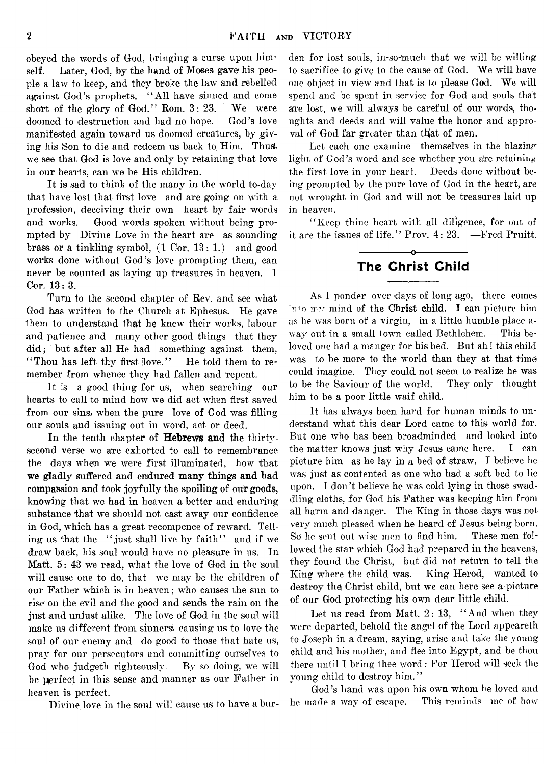obeyed the words of God, bringing a curse upon himself. Later, God, by the hand of Moses gave his people a law to keep, and they broke the law and rebelled against God's prophets. " All have sinned and come short of the glory of God." Rom. 3: 23. We were doomed to destruction and had no hope. God's love manifested again toward us doomed creatures, by giving his Son to die and redeem us back to Him. Thus we see that God is love and only by retaining that love in our hearts, can we be His children.

It is sad to think of the many in the world to-day that have lost that first love and are going on with a profession, deceiving their own heart by fair words and works. Good words spoken without being prompted by Divine Love in the heart are as sounding brass or a tinkling symbol,  $(1 \text{ Cor. } 13: 1.)$  and good works done without God's love prompting them, can never be counted as laying up treasures in heaven. 1 Cor. 13:3.

Turn to the second chapter of Rev. and see what God has written to the Church at Ephesus. He gave them to understand that he knew their works, labour and patience and many other good things that they did; but after all He had something against them, "Thou has left thy first love." He told them to remember from whence they had fallen and repent.

It is a good thing for us, when searching our hearts to call to mind how we did act when first saved from our sins, when the pure love of God was filling our souls and issuing out in word, act or deed.

In the tenth chapter of Hebrews and the thirtysecond verse we are exhorted to call to remembrance the days when we were first illuminated, how that we gladly suffered and endured many things and had compassion and took joyfully the spoiling of our goods, knowing that we had in heaven a better and enduring substance that we should not cast away our confidence in God, which has a great recompence of reward. Telling us that the " just shall live by faith" and if we draw back, his soul would have no pleasure in us. In Matt. 5: 43 we read, what the love of God in the soul will cause one to do, that we may be the children of our Father which is in heaven; who causes the sun to rise on the evil and the good and sends the rain on the just and unjust alike. The love of God in the soul will make us different from sinners, causing us to love the soul of our enemy and do good to those that hate us, pray for our persecutors and committing ourselves to God who judgeth righteously. By so doing, we will be perfect in this sense and manner as our Father in heaven is perfect.

Divine love in the soul will cause us to have a bur-

den for lost souls, in-so-much that we will be willing to sacrifice to give to the cause of God. We will have one object in view and that is to please God. We will spend and be spent in service for God and souls that a're lost, we will always be careful of our words, thoughts and deeds and will value the honor and approval of God far greater than that of men.

Let each one examine themselves in the blazing light of God's word and see whether you are retaining the first love in your heart. Deeds done without being prompted by the pure love of God in the heart, are not wrought in God and will not be treasures laid up in heaven.

" Keep thine heart with all diligence, for out of it are the issues of life." Prov. 4: 23. —Fred Pruitt.

---------------- o

## The Christ Child

As I ponder over days of long ago, there comes into my mind of the Christ child. I can picture him as he was born of a virgin, in a little humble place away out in a small town called Bethlehem. This beloved one had a manger for his bed. But ah! this child was to be more to the world than they at that time could imagine. They could not seem to realize he was to be the Saviour of the world. They only thought him to be a poor little waif child.

It has always been hard for human minds to understand what this dear Lord came to this world for. But one who has been broadminded and looked into the matter knows just why Jesus came here. I can picture him as he lay in a bed of straw, I believe he was just as contented as one who had a soft bed to lie upon. I don't believe he was cold lying in those swaddling cloths, for God his Father was keeping him from all harm and danger. The King in those days was not very much pleased when he heard of Jesus being born. So he sent out wise men to find him. These men followed the star which God had prepared in the heavens, they found the Christ, but did not return to tell the King where the child was. King Herod, wanted to destroy the Christ child, but we can here see a picture of our God protecting his own dear little child.

Let us read from Matt, 2: 13, " And when they were departed, behold the angel of the Lord appeareth to Joseph in a dream, saying, arise and take the young child and his mother, and flee into Egypt, and be thou there until I bring thee word: For Herod will seek the young child to destroy him."

God's hand was upon his own whom he loved and he made a way of escape. This reminds me of how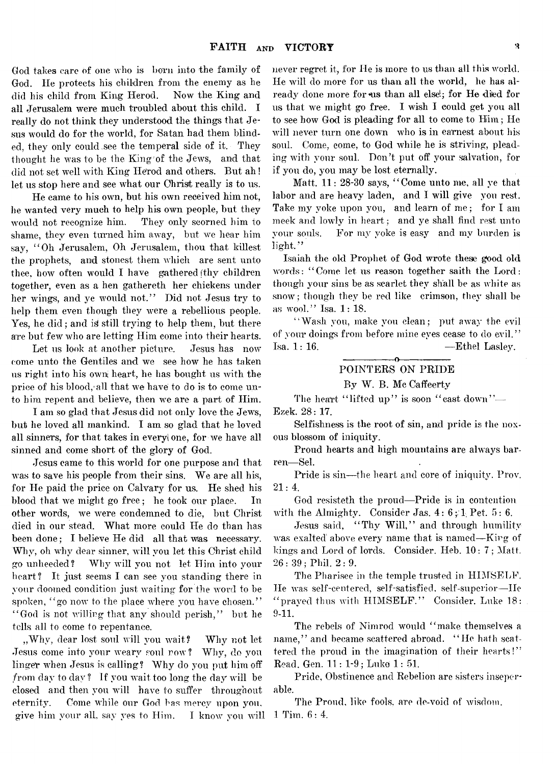God takes care of one who is born into the family of God. He protects his children from the enemy as he did his child from King Herod. Now the King and all Jerusalem were much troubled about this child. I really do not think they understood the things that Jesus would do for the world, for Satan had them blinded, they only could see the temperal side of it. They thought he was to be the King<sup>of</sup> the Jews, and that did not set well with King Herod and others. But ah! let us stop here and see what our Christ really is to us.

He came to his own, but his own received him not, he wanted very much to help his own people, but they would not recognize him. They only scorned him to shame, they even turned him away, but we hear him say, " Oh Jerusalem, Oh Jerusalem, thou that killest the prophets, and stonest them which are sent unto thee, how often would I have gathered  $(b)$  children together, even as a hen gathereth her chickens under her wings, and ye would not." Did not Jesus try to help them even though they were a rebellious people. Yes, he did; and is still trying to help them, but there are but few who are letting Him come into their hearts.

Let us look at another picture. Jesus has now come unto the Gentiles and we see how he has taken us right into his own heart, he has bought us with the price of his blood,-all that we have to do is to come unto him repent and believe, then we are a part of Him.

I am so glad that Jesus did not only love the Jews, but he loved all mankind. I am so glad that he loved all sinners, for that takes in every one, for we have all sinned and come short of the glory of God.

Jesus came to this world for one purpose and that was to save his people from their sins. We are all his, for He paid the price on Calvary for us. He shed his blood that we might go free; he took our place. In other words, we were condemned to die, but Christ died in our stead. What more could He do than has been done; I believe He did all that was necessary. Why, oh why dear sinner, will you let this Christ child go unheeded? Why will you not let Him into your heart ? It just seems I can see you standing there in your doomed condition just waiting for the word to be spoken, "go now to the place where you have chosen." "God is not willing that any should perish," but he tells, all to come to repentance.

, Why, dear lost soul will you wait? Why not let Jesus come into your weary soul row? Why, do you linger when Jesus is calling? Why do you put him off from day to day ? If you wait too long the day will be closed and then you will have to suffer throughout eternity. Come while our God has mercy upon you, give him your all, say yes to Him. I know you will

never regret it, for He is more to us than all this world. He will do more for us than all the world, he has already done more for us than all else!; for He died for us that we might go free. I wish I could get you all to see how God is pleading for all to come to Him; He will never turn one down who is in earnest about his soul. Come, come, to God while he is striving, pleading with your soul. Don't put off your salvation, for if you do, you may be lost eternally.

Matt. 11: 28-30 says, " Come unto me, all ye that labor and are heavy laden, and I will give you rest. Take my voke upon you, and learn of me; for I am meek and lowly in heart; and ye shall find rest unto your souls. For my yoke is easy and my burden is light."

Isaiah the old Prophet of God wrote these *good* old words: " Come let us reason together saith the Lord: though your sins be as scarlet they shall be as white as snow; though they be red like crimson, they shall be as wool." Isa. 1: 18.

" Wash you, make you clean; put away the evil of your doings from before mine eyes cease to do evil."  $Isa. 1: 16.$  — Ethel Lasley.

#### ---------------- o----------------- POINTERS ON PRIDE By W. B. Me Caffeertv

The heart "lifted up" is soon "cast down"-Ezek. 28: 17.

Selfishness is the root of sin, and pride is the noxous blossom of iniquity.

Proud hearts and high mountains are ahvays barren— Sel.

Pride is sin—the heart and core of iniquity. Prov. 21: 4.

God resisteth the proud—Pride is in contention with the Almighty. Consider Jas.  $4:6:1$  Pet.  $5:6$ .

Jesus said, "Thy Will," and through humility was exalted above every name that is named—King of kings and Lord of lords. Consider. Heb. 10: 7 ; Matt. 26 : 39 ; Phil. 2 : 9.

The Pharisee in the temple trusted in HIMSELF. He was self-centered, self-satisfied, self-superior—He " prayed thus with  $\text{HIMSELF."}$  Consider. Luke 18: 9-11.\*

The rebels of Nimrod would "make themselves a name," and became scattered abroad. "He hath scattered the proud in the imagination of their hearts!" Read. Gen. 11 : 1-9; Luke 1: 51.

Pride, Obstinence and Rebelion are sisters inseperable.

The Proud, like fools, are de-void of wisdom. 1 Tim. 6: 4.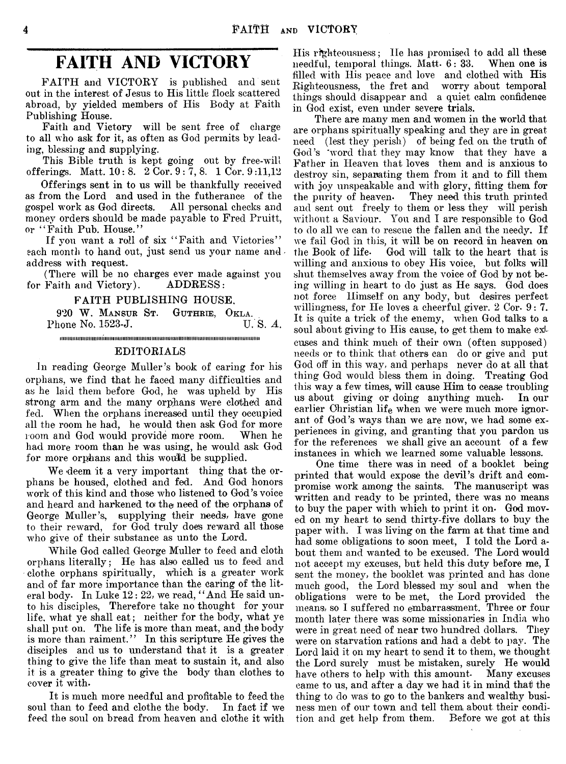## **FAITH AND VICTORY**

FAITH and VICTORY is published and sent out in the interest of Jesus to His little flock scattered abroad, by yielded members of His Body at Faith Publishing House.

Faith and Victory will be sent free of charge to all who ask for it, as often as Ood permits by leading, blessing and supplying.

This Bible truth is kept going out by free-will offerings. Matt.  $10: 8. 2$  Cor.  $9: 7, 8. 1$  Cor.  $9:11,12$ 

Offerings sent in to us will be thankfully received as from the Lord and used in the futherance of the gospel work as God directs. All personal checks and gospel work as God directs. money orders should be made payable to Fred Pruitt, or "Faith Pub. House."

If you want a roll of six "Faith and Victories" each month to hand out, just send us your name and address with request.

(There will be no charges ever made against you<br>Faith and Victory). ADDRESS: for Faith and Victory).

FAITH PUBLISHING HOUSE,

920 **W . Mansur St. Guthrie, Okla.** Phone No. 1523-J. iiiiiiiiiiiiiiiimimimiiiiiiiiiiiiiiitiiiiiiiimiiiimiiiiimiiiiimiiiiiiiiiiiiiimiiiiiiiiiiiiiiimiiiiiiiiiiiii

#### EDITORIALS

In reading George Muller's book of caring for his orphans, we find that he faced many difficulties and as he laid them before God, he was upheld by His strong arm and the many orphans were clothed and fed. When the orphans increased until they occupied all the room he had, he would then ask God for more room and God would provide more room. When he had more room than he was using, he would ask God for more orphans and this would be supplied.

We deem it a very important thing that the orphans be housed, clothed and fed. And God honors work of this kind and those who listened to God's voice and heard and harkened to the need of the orphans of George Muller's, supplying their needs, have gone to their reward, for God truly does reward all those who give of their substance as unto the Lord.

While God called George Muller to feed and cloth orphans literally; He has also called us to feed and clothe orphans spiritually, which is a greater work and of far more importance than the caring of the literal body. In Luke 12: 22, we read, "And He said unto his disciples, Therefore take no thought for your life, what ye shall eat; neither for the body, what ye shall put on. The life is more than meat, and the body is more than raiment." In this scripture He gives the disciples and us to understand that it is a greater thing to give the life than meat to sustain it, and also it is a greater thing to give the body than clothes to cover it with-

It is much more needful and profitable to feed the soul than to feed and clothe the body. In fact if we feed the soul on bread from heaven and clothe it with

His righteousness; He has promised to add all these needful, temporal things. Matt- 6: 33. When one is filled with His peace and love and clothed with His Righteousness, the fret and worry about temporal things should disappear and a quiet calm confidence in God exist, even under severe trials.

There are many men and women in the world that are orphans spiritually speaking and they are in great need (lest they perish) of being fed on the truth of God's 'word that they may know that they have a Father in Heaven that loves them and is anxious to destroy sin, separating them from it and to fill them with joy unspeakable and with glory, fitting them for the purity of heaven- They need this truth printed and sent out freely to them or less they will perish without a Saviour. You and I are responsible to God to do all we can to rescue the fallen and the needy. If we fail God in this, it will be on record in heaven on the Book of life- God will talk to the heart that is willing and anxious to obey His voice, but folks will shut themselves away from the voice of God by not being willing in heart to do just as He says. God does not force Himself on any body, but desires perfect willingness, for He loves a cheerful giver. 2 Cor. 9: 7. It is quite a trick of the enemy, when God talks to a soul about giving to His cause, to get them to make exJcuses and think much of their own (often supposed) needs or to think that others can do or give and put God off in this way, and perhaps never do at all that thing God would bless them in doing. Treating God this way a few times, will cause Him to cease troubling us about giving or doing anything much- In our earlier Christian life when we were much more ignorant of God's ways than we are now, we had some experiences in giving, and granting that you pardon us for the references we shall give an account of a few instances in which we learned some valuable lessons.

One time there was in need of a booklet being printed that would expose the devil's drift and compromise work among the saints. The manuscript was written and ready to be printed, there was no means to buy the paper with which to print it on- God moved on my heart to send thirty-five dollars to buy the paper with. I was living on the farm at that time and had some obligations to soon meet, I told the Lord about them and wanted to be excused. The Lord would not accept my excuses, but held this duty before me, I sent the money, the booklet was printed and has done much good, the Lord blessed my soul and when the obligations were to be met, the Lord provided the means, so I suffered no embarrassment. Three or four month later there was some missionaries in India who were in great need of near two hundred dollars. They were on starvation rations and had a debt to pay. The Lord laid it on my heart to send it to them, we thought the Lord surely must be mistaken, surely He would have others to help with this amount. Many excuses came to us, and after a day we had it in mind that the thing to do was to go to the bankers and wealthy business men of our town and tell them about their condition and get help from them. Before we got at this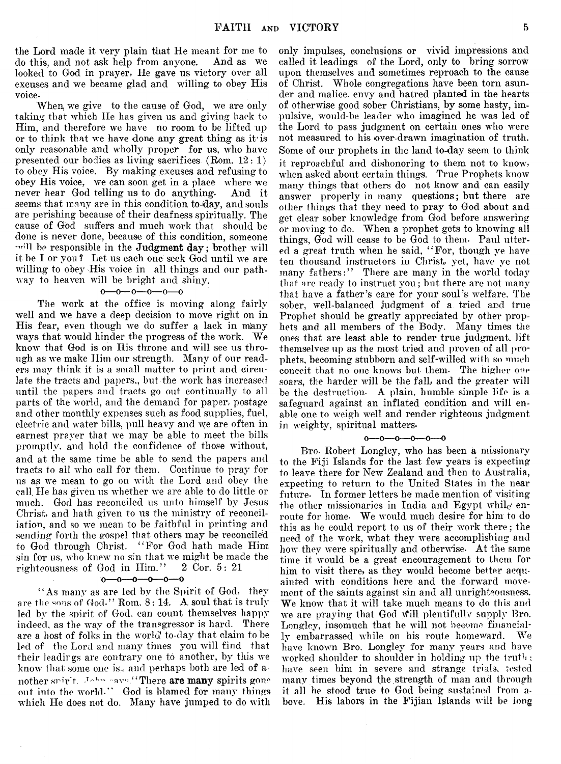the Lord made it very plain that He meant for me to do this, and not ask help from anyone. And as we looked to God in prayer. He gave us victory over all excuses and we became glad and willing to obey His voice-

When, we give to the cause of God, we are only taking that which He has given us and giving back to Him, and therefore we have no room to be lifted up or to think that we have done any great thing as it is only reasonable and wholly proper for us, who have presented our bodies as living sacrifices (Rom.  $12:1$ ) to obey His voice. By making excuses and refusing to obey His voice, we can soon get in a place where we never hear God telling us to do anything. And it seems that many are in this condition to-day, and souls are perishing because of their deafness spiritually. The cause of God suffers and much work that should be done is never done, because of this condition, someone will be responsible in the Judgment day; brother will it be I or you ? Let us each one seek God until we are willing to obey His voice in all things and our pathway to heaven will be bright and shiny.

#### $0-0-0-0-0$

The work at the office is moving along fairly well and we have a deep decision to move right on in His fear, even though we do suffer a lack in many ways that would hinder the progress of the work. We know that God is on His throne and will see us through as we make Him our strength. Many of our readers may think it is a small matter to print and circulate the tracts and papers,, but-the work has increased until the papers and tracts go out continually to all parts of the world, and the demand for paper, postage and other monthly expenses such as food supplies, fuel, electric and water bills, pull heavy and we are often in earnest prayer that we may be able to meet the bills promptly, and hold the confidence of those without, and at the same time be able to send the papers and tracts to all who call for them. Continue to pray for us as we mean to go on with the Lord and obey the call. He has given us whether we are able to do little or much. God has reconciled us unto himself by Jesus Christ, and hath given to us the ministry of reconciliation, and so we mean to be faithful in printing and sending forth the gospel that others may be reconciled to God through Christ. " For God hath made Him sin for us, who knew no sin that we might be made the righteousness of God in Him." 2 Cor. 5: 21

#### $0 - 0 - 0 - 0 - 0 - 0$

" As many as are led by the Spirit of God, they are the «ons of God." Rom. 8: 14. A soul that is truly led by the spirit of God, can count themselves happy indeed, as the way of the transgressor is hard. There are a host of folks in the world to-dav that claim to be led of the Lord and many times you will find that their leadings are contrary one to another, by this we know that some one is... and perhaps both are led of another spirit. John cava,"There are many spirits gone out into the world." God is blamed for many things which He does not do. Many have jumped to do with

only impulses, conclusions or vivid impressions and called it leadings of the Lord, only to bring sorrow upon themselves and sometimes reproach to the cause of Christ. Whole congregations have been torn asunder and malice, envy and hatred planted in the hearts of otherwise good sober Christians, by some hasty, impulsive, would-be leader who imagined he was led of the Lord to pass judgment on certain ones who were not measured to his over drawn imagination of truth. Some of our prophets in the land to-day seem to think it reproachful and dishonoring to them not to know, when asked about certain things. True Prophets know many things that others do not know and can easily answer properly in many questions; but there are other things that they need to pray to God about and get clear sober knowledge from God before answering or moving to do. When a prophet gets to knowing all things, God will cease to be God to them. Paul uttered a great truth when he said, " For, though ye have ten thousand instructors in Christ, yet, have ye not many fathers:" There are many in the world today that are ready to instruct you; but there are not many that have a father's care for your soul's welfare. The sober, well-balanced judgment of a tried and true Prophet should be greatly appreciated by other prophets and all members of the Body. Many times the ones that are least, able to render true judgment, lift themselves up as the most tried and proven of all prophets, becoming stubborn and self-willed with so much conceit that no one knows but them. The higher one soars, the harder will be the fall, and the greater will be the destruction. A plain, humble simple life is a safeguard against an inflated condition and will enable one to weigh well and render righteous judgment in weighty, spiritual matters.

#### 

Bro. Robert Longley, who has been a missionary to the Fiji Islands for the last few years is expecting to leave there for New Zealand and then to Australia, expecting to return to the United States in the near future- In former letters he made mention of visiting the other missionaries in India and Egypt while enroute for home. We would much desire for him to do this as he could report to us of their work there; the need of the work, what they were accomplishing and how they were spiritually and otherwise. At the same time it would be a great encouragement to them for him to visit there, as they would become better acquainted with conditions here and the forward movement of the saints against sin and all unrighteousness. We know that it will take much means to do this and we are praying that God will plentifully supply Bro. Longley, insomuch that he will not become financially embarrassed while on his route homeward. We have known Bro. Longley for many years and have worked shoulder to shoulder in holding up the truth ; have seen him in severe and strange trials, tested many times beyond the strength of man and through it all he stood true to God being sustained from above. His labors in the Fijian Islands will be long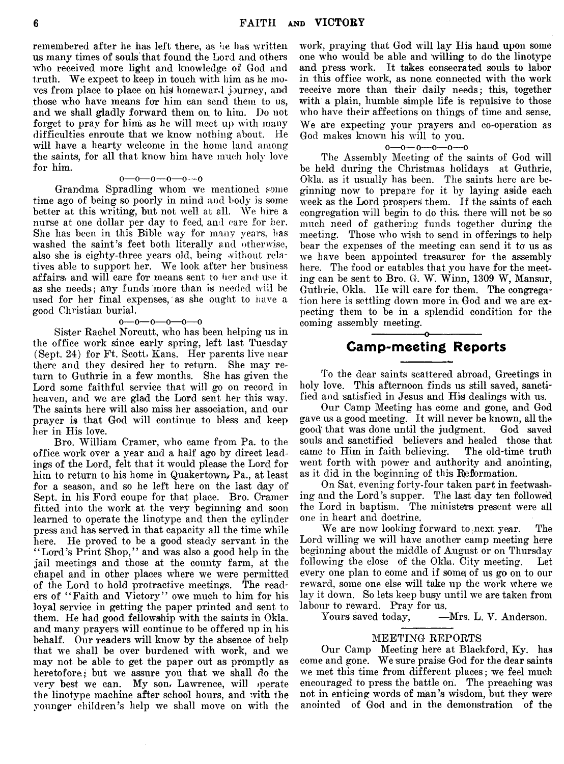remembered after he has left there, as he has written us many times of souls that found the Lord and others who received more light and knowledge of God and truth. We expect to keep in touch with him as he moves from place to place on his homeward journey, and those who have means for him can send them to us, and we shall gladly forward them on to him. Do not forget to pray for him, as he will meet up with many difficulties enroute that we know nothing about. He will have a hearty welcome in the home land among the saints, for all that know him have much holy love for him.

#### o— o— o— o— o— o

Grandma Spradling whom we mentioned some time ago of being so poorly in mind and body is some better at this writing, but not well at all. We hire a nurse at one dollar per day to feed, and care for her. She has been in this Bible way for many years, lias washed the saint's feet both literally and otherwise, also she is eighty-three years old, being without relatives able to support her. We look after her business affairs, and will care for means sent to her and use it as she needs; any funds more than is needed will be used for her final expenses, as she ought to have a good Christian burial.

#### $0 - 0 - 0 - 0 - 0$

Sister Rachel Norcutt, who has been helping us in the office work since early spring, left last Tuesday (Sept. 24) for Ft. Scott, Kans. Her parents live near there and they desired her to return. She may return to Guthrie in a few months. She has given the Lord some faithful service that will go on record in heaven, and we are glad the Lord sent her this way. The saints here will also miss her association, and our prayer is that God will continue to bless and keep her in His love.

Bro. William Cramer, who came from Pa. to the office work over a year and a half ago by direct leadings of the Lord, felt that it would please the Lord for him to return to his home in Quakertown, Pa., at least for a season, and so he left here on the last day of Sept, in his Ford coupe for that place. Bro. Cramer fitted into the work at the very beginning and soon learned to operate the linotype and then the cylinder press and has served in that capacity all the time while here. He proved to be a good steady servant in the " Lord's Print Shop," and was also a good help in the jail meetings and those at the county farm, at the chapel and in other places where we were permitted of the Lord to hold protractive meetings. The readers of "Faith and Victory" owe much to him for his loyal service in getting the paper printed and sent to them. He had good fellowship with the saints in Okla. and many prayers will continue to be offered up in his behalf. Our readers will know by the absence of help that we shall be over burdened with work, and we may not be able to get the paper out as promptly as heretofore; but we assure you that we shall do the very best we can. My son, Lawrence, will operate the linotype machine after school hours, and with the younger children's help we shall move on with the work, praying that God will lay His hand upon some one who would be able and willing to do the linotype and press work. It takes consecrated souls to labor in this office work, as none, connected with the work receive more than their daily needs; this, together with a plain, humble simple life is repulsive to those who have their affections on things of time and sense. We are expecting your prayers and co-operation as God makes known his will to you.

#### $0 - 0 - 0 - 0 - 0$

The Assembly Meeting of the saints of God will be held during the Christmas holidays at Guthrie, Okla. as it usually has been. The saints here are beginning now to prepare for it by laying aside each week as the Lord prospers them. If the saints of each congregation will begin to do this, there will not be so much need of gathering funds together during the meeting. Those who wish to send in offerings to help bear the expenses of the meeting can send it to us as we have been appointed treasurer for the assembly here. The food or eatables that you have for the meeting can be sent to Bro. G. W. Winn, 1309 W, Mansur, Guthrie, Okla. He will care for them. The congregation here is settling down more in God and we are expecting them to be in a splendid condition for the coming assembly meeting. -----------------o----------------

## Camp-meeting Reports

To the dear saints scattered abroad, Greetings in holy love. This afternoon finds us still saved, sanctified and satisfied in Jesus and His dealings with us.

Our Camp Meeting has come and gone, and God gave us a good meeting. It will never be known, all the good that was done until the judgment. God saved souls and sanctified believers and healed those that came to Him in faith believing. The old-time truth went forth with power and authority and anointing, as it did in the beginning of this Reformation.

On Sat. evening forty-four taken part in feetwashing and the Lord's supper. The last day ten followed the Lord in baptism. The ministers present were all one in heart and doctrine.

We are now looking forward to next year. The Lord willing we will have another camp meeting here beginning about the middle of August or on Thursday following the close of the Okla. City meeting. Let every one plan to come and if somei of us go on to our reward, some one else will take up the work where we lay it down. So lets keep busy until we are taken from labour to reward. Pray for us.<br>Yours saved today,

-Mrs. L. V. Anderson.

#### MEETING REPORTS

Our Camp Meeting here at Blackford, Ky. has come and gone. We sure praise God for the dear saints we met this time from different places; we feel much encouraged to press the battle on. The preaching was not in enticing words of man's wisdom, but they were anointed of God and in the demonstration of the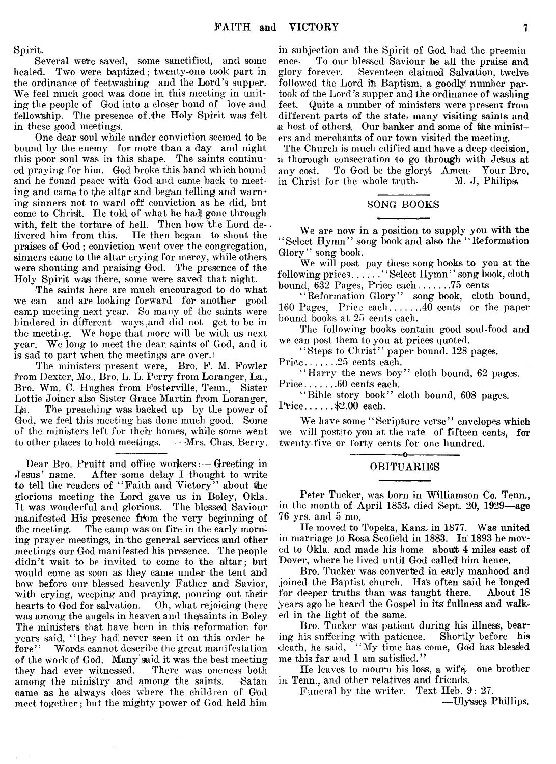Spirit.

Several were saved, some sanctified, and some healed. Two were baptized; twenty-one took part in the ordinance of feetwashing and the Lord's supper. We feel much good was done in this meeting in uniting the people of God into a closer bond of love and fellowship. The presence of the Holy Spirit was felt in these good meetings.

One dear soul while under conviction seemed to be bound by the enemy for more than a day and night this poor soul was in this shape. The saints continued praying for him. God broke this band which bound and he found peace with God and came back to meeting and came to the altar and began telling and warning sinners not to ward off conviction as he did, but come to Christ. He told of what he hadj gone through with, felt the torture of hell. Then how the Lord de-. livered him from this. He then began to shout the praises of God; conviction went over the congregation, sinners came to the altar crying for mercy, while others were shouting and praising God. The presence of the Holy Spirit was there, some were saved that night.

The saints here are much encouraged to do what we can and are looking forward for another good camp meeting next year. So many of the saints were hindered in different ways,and did not get to be in the meeting. We hope that more will be with us next year. We long to meet the dear saints of God, and it is sad to part when the meetings are over, i

The ministers present were, Bro. F. M. Fowler from Dexter, Mo., Bro. L. L. Perry from Loranger, La., Bro. Wm. C. Hughes from Fosterville, Tenn., Sister Lottie Joiner also Sister Grace Martin from Loranger,  $I/a$ . The preaching was backed up by the power of God, we feel this meeting has done much good. Some of the ministers left for their homes, while some went<br>to other places to hold meetings. —Mrs. Chas. Berry. to other places to hold meetings.

Dear Bro. Pruitt and office workers:—Greeting in Jesus' name. After some delay I thought to write to tell the readers of "Faith and Victory" about the glorious meeting the Lord gave us in Boley, Okla. It was wonderful and glorious. The blessed Saviour manifested His presence from the very beginning of the meeting. The camp was on fire in the early morning prayer meetings, in the general services and other meetings our God manifested his presence. The people didn't wait to be invited to come to the altar; but would come as soon as they came under the tent and bow before our blessed heavenly Father and Savior, with crying, weeping and praying, pouring out their hearts to God for salvation. Oh, what rejoicing there was among the angels in heaven and the saints in Boley The ministers that have been in this reformation for years said, "they had never seen it on this order be fore" Words cannot describe the great manifestation Words cannot describe the great manifestation of the work of God. Many said it was the best meeting<br>they had ever witnessed. There was oneness both they had ever witnessed. among the ministry and among the saints. Satan came as he always does where the children of God meet together; but the mighty power of God held him

in subjection and the Spirit of God had the preemin<br>ence. To our blessed Saviour be all the praise and To our blessed Saviour be all the praise and glory forever. Seventeen claimed Salvation, twelve followed the Lord in Baptism, a goodly number partook of the Lord's supper and the ordinance of washing feet. Quite a number of ministers were present from different parts of the state; many visiting saints and ia host of others. Our banker and some of the ministers and merchants of our town visited the meeting.

The Church is much edified and have a deep decision, a thorough consecration to go through with Jesus at any cost. To God be the glory, Amen. Your Bro, To God be the glory, Amen. Your Bro, in Christ for the whole truth.  $M. J,$  Philips,

#### SONG BOOKS

We are now in a position to supply you with the ' ' Select Hymn ' ' song book and also the ' ' Reformation Glory" song book.

We will post pay these song books to you at the  $\operatorname{following}\operatorname{ prices.}\dots\dots$  "Select  $\operatorname{Hymn}$ " song book, cloth bound, 632 Pages, Price each........... 75 cents

' ' Reformation Glory" song book, cloth bound, 160 Pages, Price each........... 40 cents or the paper bound books at 25 cents each.

The following books contain good soul-food and we can post them to you at prices quoted.

"Steps to Christ" paper bound. 128 pages. Price........25 cents each.

"Harry the news boy" cloth bound,  $62$  pages.

Price........60 cents each.

"Bible story book" cloth bound, 608 pages. Price......\$2.00 each.

We have some "Scripture verse" envelopes which we will postjto you at the rate of fifteen cents, for twenty-five or forty cents for one hundred.

#### -----------------o---------------- OBITUARIES

Peter Tucker, was born in Williamson Co. Tenn., in the month of April 1853, died Sept. 20, 1929— age 76 yrs. and 5 mo.

He moved to Topeka, Kans. in 1877. Was united in marriage to Rosa Scofield in 1883. In 1893 he moved to Okla. and made his home about 4 miles east of Dover, where he lived until God called him hence.

Bro. Tucker was converted in early manhood and joined the Baptist church. Has often said he longed for deeper truths than was taught there. About 18 years ago he heard the Gospel in its fullness and walked in the light of the same.

Bro. Tucker was patient during his illness, bearing his suffering with patience. Shortly before his death, he said, "My time has come, God has blessed me this far and I am satisfied."

He leaves to mourn his loss, a wife), one brother in Tenn., and other relatives and friends.

Funeral by the writer. Text Heb. 9: 27.

—Ulysses Phillips.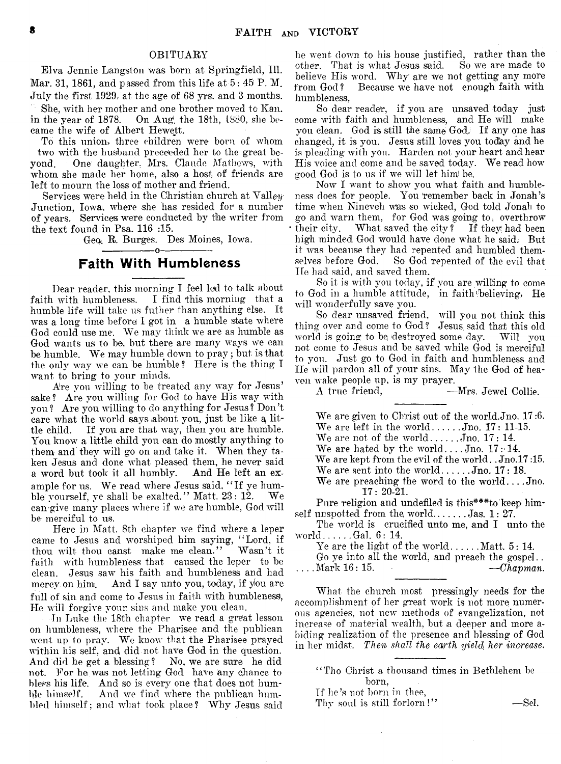#### OBITUARY

Elva Jennie Langston was born at Springfield, 111. Mar. 31, 1861, and passed from this life at  $5:45$  P.M. July the first 1929/at the age of 68 yrs, and 3 months.

She, with her mother and one brother moved to Kan. in the year of 1878. On Aug. the 18th, 1880, she became the wife of Albert Hewett.

To this union, three children were born of whom two with the husband preceeded her to the great beyond. One daughter. Mrs. Claude Mathews, with whom she made her home, also a host of friends are left to mourn the loss of mother and friend.

Services were held in the Christian church at Valley-Junction, Iowa, where she has resided for a number of years. Services were conducted by the writer from the text found in Psa. 116 :15.

Geo. R. Burges. Des Moines, Iowa.

### -----------------o----------------- Faith With Humbleness

Dear reader, this morning I feel led to talk about faith with humbleness. I find this morning that a humble life will take us futher than anything else. It was a long time before I got in a humble state where God could use me. We may think we are as humble as God wants us to be, but there are many ways we can be humble. We may humble down to pray; but is that the only way we can be humble? Here is the thing I want to bring to your minds.

Are you willing to be treated any way for Jesus' sake? Are you willing for God to have His way with you? Are you willing to do anything for Jesus ? Don't care what the world says about you, just be like a little child. If you are that way, then you are humble. You know a little child you can do mostly anything to them and they will go on and take it. When they taken Jesus and done what pleased them, he never said<br>a word but took it all humbly. And He left an exa word but took it all humbly. ample for us. We read where Jesus said, "If ye hum-<br>ble yourself, ye shall be exalted." Matt,  $23:12$ . We ble yourself, ye shall be exalted." Matt.  $23:12$ . can give many places where if we are humble, God will be merciful to us.

Here in Matt. 8th chapter we find where a leper came to Jesus and worshiped him saying, " Lord, if thou wilt thou canst make me clean." Wasn't it faith with humbleness that caused the leper to be clean. Jesus saw his faith and humbleness and had mercy on him. And I say unto you, today, if you are full of sin and come to Jesus in faith with humbleness, He will forgive your, sins and make you clean.

In Luke the 18th chapter we read a great lesson on humbleness, where the Pharisee and the publican went up to pray. We know that the Pharisee prayed within his self, and did not have God in the question. And did he get a blessing? No, we are sure he did not. For he was not letting God have any chance to bless his life. And so is every one that does not humble himself. And we find where the publican humbled himself; and what took place? Why Jesus said

he went down to his house justified, rather than the other. That is what Jesus said. So we are made to other. That is what Jesus said. believe His word. Why are we not getting any more from God? Because we have not enough faith with Because we have not enough faith with humbleness,

So dear reader, if you are unsaved today just come with faith and humbleness, and He will make you clean. God is still the same God. If any one has changed, it is you. Jesus still loves you todiay and he is pleading with you. Harden not your heart and hear His voice and come and be saved today. We read how good God is to us if we will let him be.

Now I want to show you what faith and humbleness does for people. You 'remember back in Jonah's time when Nineveh was so wicked, God told Jonah to go and warn them, for God was going to, overthrow their city. What saved the city ? If they had been high minded God would have done what he said; But it was because they had repented and humbled them-So God repented of the evil that He had said, and saved them,

So it is with you today, if you are willing to come to God in a humble attitude, in faith believing, He will wonderfully save you.

So dear unsaved friend, will you not think this thing over and come to God? Jesusi said that this old world is going to be destroyed some day. Will you not come to Jesus and be saved while God is merciful to you. Just go to God in faith and humbleness and He will pardon all of your sins. May the God of heaven wake people up, is my prayer.<br>A true friend,  $\qquad \qquad -$ 

-Mrs. Jewel Collie.

We are given to Christ out of the world.Jno. 17:6. We are left in the world....... $Jno. 17: 11-15.$ We are not of the world... $\dots$  Jno. 17: 14. We are hated by the world....Jno.  $17:14$ . We are kept from the evil of the world. . Jno.17:15. We are sent into the world...... $Jn$ o. 17: 18. We are preaching the word to the world.... $J_{0}$ .

17:20-21.

Pure religion and undefiled is this\*\*\*to keep himself unspotted from the world......... Jas.  $1: 27$ .

The world is crucified unto me, and I unto the world...... $Gal. 6: 14.$ 

Ye are the light of the world........ Matt.  $5:14$ .

Go ye into all the world, and preach the gospel..  $\ldots$  Mark 16: 15.  $\qquad \qquad -Chapman.$ 

What the church most pressingly needs for the accomplishment of her great work is not more, numerous agencies, not new methods of evangelization, not increase of material wealth, but a deeper and more abiding realization of the presence and blessing of God in her midst. Then shall the earth yield, her increase.

" Tho Christ a thousand times in Bethlehem be born,

Tf he's not born in thee,

Thy soul is still forlorn!" -Sel.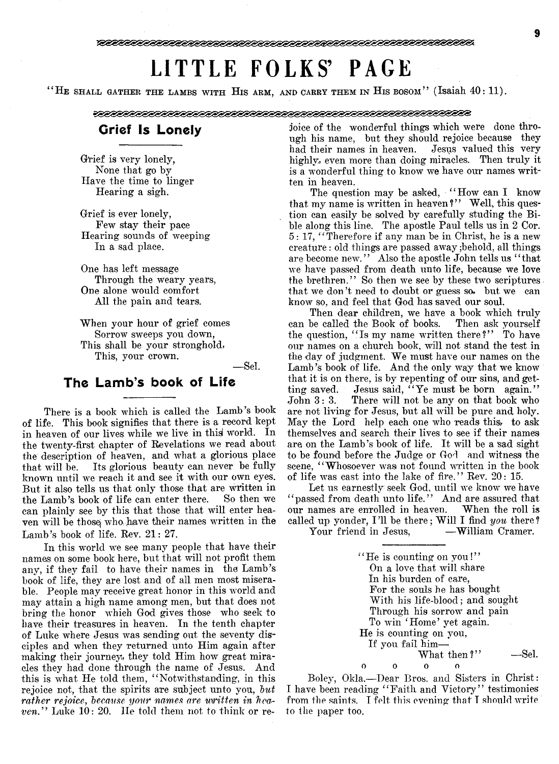# LITTLE FOLKS' PAGE

" He shall gather the lambs with His arm, and carry them in His bosom" (Isaiah 40: 11).

## Grief Is Lonely

Grief is very lonely, None that go by Have the time to linger Hearing a sigh.

Grief is ever lonely, Few stay their pace Hearing sounds of weeping In a sad place.

One has left message Through the weary years, One alone would comfort All the pain, and tears.

When your hour of grief comes Sorrow sweeps you down, This shall be your stronghold, This, your crown.

— Sel.

## The Lamb's book of Life

There is a book which is called the Lamb's book of life. This book signifies that there is a record kept in heaven of our lives while we live in this world. In the twenty-first chapter of Revelations we read about the description of heaven, and what a glorious place that will be. Its glorious beauty can never be fully known until we reach it and see it with our own eyes. But it also tells us that only those that are written in the Lamb's book of life can enter there. So then we can plainly see by this that those that will enter heaven will be those who have their names written in the Lamb's book of life. Rev. 21: 27.

In this world we see many people that have their names on some book here, but that will not profit them any, if they fail to have their names in the Lamb's book of life, they are lost and of all men most miserable. People may receive great honor in this world and may attain a high name among men, but that does not bring the honor which God gives those who seek to have their treasures in heaven. In the tenth chapter of Luke where Jesus was sending out the seventy disciples and when they returned unto Him again after making their journey, they told Him how great miracles they had done through the name of Jesus. And this is what He told them, ' ' Notwithstanding, in this rejoice not, that the spirits are subject unto you, *but* rather rejoice, because your names are written in hea*ven.*" Luke 10: 20. He told them not to think or rejoice of the wonderful things which were done through his name, but they should rejoice because they had their names in heaven. Jesus valued this very highly, even more than doing miracles. Then truly it is a wonderful thing to know we have our names written in heaven.

The question may be asked, "How can I know that my name is written in heaven?" Well, this question can easily be solved by carefully studing the Bible along this line. The apostle Paul tells us in 2 Cor. 5: 17, " Therefore if any man be in Christ, he is a new creature : old things are passed away ;behold, all things are become new." Also the apostle John tells us "that we have passed from death unto life, because we love the brethren." So then we see by these two scriptures that we don't need to doubt or guess so. but we can know so, and feel that God has saved our soul.

Then dear children, we have a book which truly can be called the Book of books. Then ask yourself the question, "Is my name written there?" To have our names on a church book, will not stand the test in the day of judgment. We must have our names on the Lamb's book of life. And the only way that we know that it is on there, is by repenting of our sins, and getting saved. Jesus said, "Ye must be born again." John 3: 3. There will not be any on that book who are not living for Jesus, but all will be pure and holy. May the Lord help each one who reads this, to ask themselves and search their lives to see if their names are on the Lamb's book of life. It will be a sad sight to be found before the Judge or God and witness the scene, "Whosoever was not found written in the book of life was cast into the lake of fire." Rev. 20: 15.

Let us earnestly seek God, until we know we have " passed from death unto life." And are assured that our names are enrolled in heaven. When the roll is called up yonder, I'll be there; Will I find *you* there?<br>Your friend in Jesus. — William Cramer.

Your friend in Jesus,

" He is counting on you !' ' On a love that will share In his burden of care, For the souls he has bought With his life-blood; and sought Through his sorrow and pain To win ' Home' yet again. He is counting on you, If you fail him— What then?" — Sel. 0 0 0

Bolev, Okla,— Dear Bros, and Sisters in Christ: I have been reading "Faith and Victory" testimonies from the saints. I felt this evening that I should write to the paper too.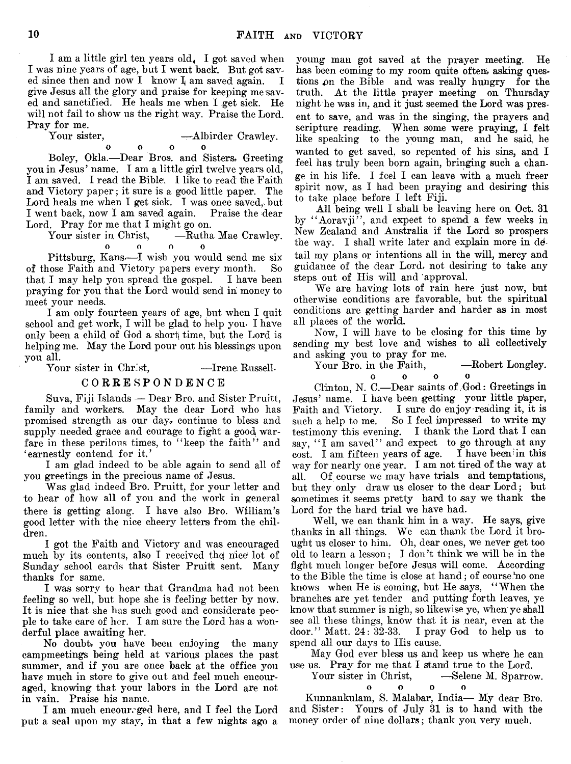I am a little girl ten years old< I got saved when I was nine years of age, but I went back. But got saved since then and now  $I$  know  $I$  am saved again.  $I$ give Jesus all the glory and praise for keeping me saved and sanctified. He heals me when I get sick. He will not fail to show us the right way. Praise the Lord. Pray for me.<br>Your sister,

meet your needs.

' earnestly contend for it.'

you all.

dren.

thanks for same.

derful place awaiting her.

in vain. Praise his name.

Your sister in Christ,

you in Jesus' name. I am a little girl twelve years old, I am saved. I read the Bible. I like to read the Faith and Victory paper; it sure is a good little paper. The Lord heals me when I get sick. I was once saved, but I went back, now I am saved again. Praise the dear Lord. Pray for me that I might go on.<br>Your sister in Christ. ——Rutha Mae Crawley.

0 0 0 0 Pittsburg, Kans—I wish you would send me six<br>hose Faith and Victory papers every month. So

I am only fourteen years of age, but when I quit school and get work, I will be glad to help you- I have only been a child of God a shorf time, but the Lord is helping me. May the Lord pour out his blessings upon

Your sister in Christ, — Irene Russell. CORRESPONDENCE Suva, Fiji Islands — Dear Bro. and Sister Pruitt, family and workers. May the dear Lord who has promised strength as our day, continue to bless and supply needed grace and courage to fight a good warfare in these perilous times, to "keep the faith" and

I am glad indeed to be able again to send all of

Was glad indeed Bro. Pruitt, for your letter and to hear of how all of you and the work in general there is getting along. I have also Bro. William's good letter with the nice cheery letters from the chil-

I got the Faith and Victory and was encouraged much by its contents, also I received the nice lot of Sunday school cards that Sister Pruitt sent. Many

I was sorry to hear that Grandma had not been feeling so well, but hope she is feeling better by now. It is nice that she has such good and considerate people to take care of her. I am sure the Lord has a won-

No doubt, you have been enjoying the many campmeetings being held at various places the past summer, and if you are once back at the office you have much in store to give out and feel much encouraged, knowing that your labors in the Lord are not

I am much encouraged here, and I feel the Lord put a seal upon my stay, in that a few nights ago a

you greetings in the precious name of Jesus.

of those Faith and Victory papers every month. that I may help you spread the gospel. I have been praying for you that the Lord would send in money to

—Albirder Crawley.

oooo Boley, Okla.—Dear Bros, and Sisters. Greeting

ent to save, and was in the singing, the prayers and scripture reading. When some were praying, I felt like speaking to the young man, and he said, he wanted to get saved, so repented of his sins, and I feel has truly been born again, bringing such a change in his life. I feel I can leave with a much freer spirit now, as I had been praying and desiring this to take place before I left Fiji.

young man got saved at the prayer meeting. He has been coming to my room quite often, asking questions on the Bible and was really hungry for the truth. At the little prayer meeting on Thursday night he was in, and it just seemed the Lord was pres-

All being well I shall be leaving here on Oct. 31 by "Aoravji", and expect to spend a few weeks in New Zealand and Australia if the Lord so prospers the way. I shall write later and explain more in detail my plans or intentions all in the will, mercy and guidance of the dear Lord, not desiring to take any steps out of His will and approval.

We are having lots of rain here just now, but otherwise conditions are favorable, but the spiritual conditions are getting harder and harder as in most all places of the world.

Now, I will have to be closing for this time by sending my best love and wishes to all collectively and asking you to pray for me.

Your Bro. in the Faith, -Robert Longley.

oooo

Clinton, N. C.— Dear saints of God: Greetings in Jesus' name. I have been getting your little paper, Faith and Victory. I sure do enjoy reading it, it is such a help to me. So I feel impressed to write my testimony this evening. I thank the Lord that I can say, "I am saved" and expect to go through at any cost. I am fifteen years of age. I have been in this way for nearly one year. I am not tired of the way at all. Of course we may have trials and temptations, but they only draw us closer to the dear Lord; but sometimes it seems pretty hard to say we thank the Lord for the hard trial we have had.

Well, we can thank him in a way. He says, give thanks in all things. We can thank the Lord it brought us closer to him. Oh, dear ones, we never get too old to learn a lesson; I don't think we will be in the fight much longer before Jesus will come. According to the Bible the time is close at hand; of course no one knows when He is coming, but He says, " When the branches are yet tender and putting forth leaves, ye know that summer is nigh, so likewise ye, when ye shall see all these things, know that it is near, even at the door." Matt. 24: 32-33. I pray God to help us to door." Matt.  $24: 32-33$ . spend all our days to His cause.

May God ever bless us and keep us where he can use us. Pray for me that I stand true to the Lord.

Your sister in Christ,  $-$ Selene M. Sparrow.

Kunnankulam, S. Malabar, India— My dear Bro. and Sister: Yours of July 31 is to hand with the money order of nine dollars; thank you very much.

0 0 0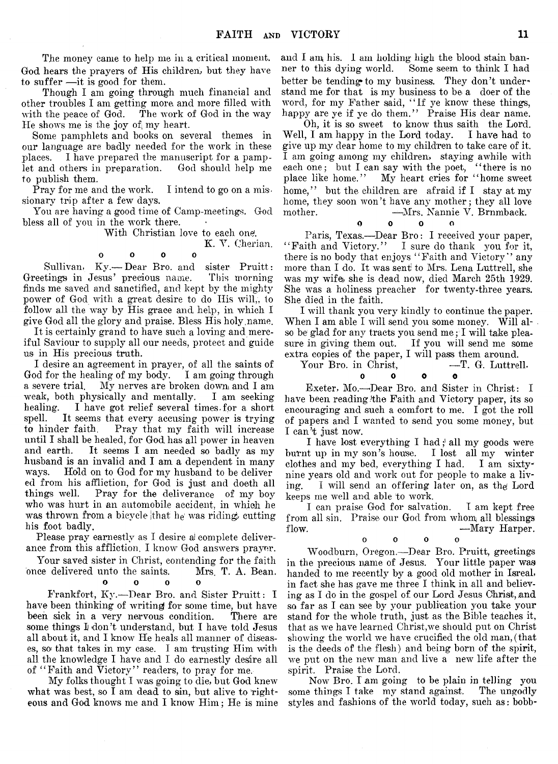The money came to help me in a critical moment. God hears the prayers of His children, but they have to suffer —it is good for them.

Though I am going through much financial and other troubles I am getting more and more filled with with the peace of God. The work of God in the way He shows me is the joy of; my heart.

Some pamphlets and books on several themes in our language are badly needed for the work in these places. I have prepared the manuscript for a pamplet and others in preparation. God should help me to publish them.

Pray for me and the work. I intend to go on a missionary trip after a few days.

You are having a good time of Camp-meetings. God bless all of you in the work there.

With Christian love to each one.

K. Y. Oherian.

0 0 0 0 Sullivan, Ky.— Dear Bro. and sister Pruitt: Greetings in Jesus' precious name. This morning finds me saved and sanctified, and kept by the mighty power of God with a great desire to do His will,, lo follow all the way by His grace and help, in which I give God all the glory and praise. Bless His holy .name.

It is certainly grand to have such a loving and merciful Saviour to supply all our needs, protect and guide us in His precious truth.

I desire an agreement in prayer, of all the saints of God for the healing of my body. I am going through a severe trial. My nerves are broken downi and I am weak, both physically and mentally. I am seeking healing. I have got relief several times.for a short spell. It seems that every accusing power is trying to hinder faith. Pray that my faith will increase until I shall be healed, for God has all power in heaven and earth. It seems I am needed so badly as my husband is an invalid and I am a dependent in many ways. Hold on to God for my husband to be deliver ed from his affliction, for God is just and doeth all things well. Pray for the deliverance of my boy who was hurt in an automobile accident, in which he was thrown from a bicycle that he was riding, cutting his foot badly.

Please pray earnestly as I desire ai complete deliverance from this affliction. I know God answers prayer.

Your saved sister in Christ, contending for the faith once delivered unto the saints. Mrs. T. A. Bean,

o o o o

Frankfort, Ky.—Dear Bro. and Sister Pruitt: I have been thinking of writing for some time, but have been sick in a very nervous condition. There are some things I don't understand, but I have told Jesus all about it, and I know He heals all manner of diseases, so that takes in my case. I am trusting Him with all the knowledge I have and I do earnestly desire all of "Faith and Victory" readers, to pray for me.

My folks thought I was going to die, but God knew what was best, so I am dead to sin, but alive to righteous and God knows me and I know Him; He is mine

and I am, his. I am holding high the blood stain banner to this dying world. Some seem to think I had better be tending to my business. They don't understand me for that is my business to be a doer of the word, for my Father said, " If ye know these things, happy are ye if ye do them." Praise His dear name.

Oh, it is so sweet to know thus saith the Lord. Well, I am happy in the Lord today. I have had to give up my dear home to my children to take care of it. I am going among my children, staying awhile with each one; but I can say with the poet, "there is no place like home." My heart cries for "home sweet home," but the children are afraid if I stay at my home, they soon won't have any mother; they all love mother. ——Mrs. Nannie V. Brnmback.

0 0 0 0

Paris, Texas.—Dear Bro: I received your paper, "Faith and Victory." I sure do thank you for it, there is no body that enjoys "Faith and Victory" any more than I do. It was sent to Mrs, Lena Luttrell, she was my wife, she is dead now, died March 25th 1929. She was a holiness preacher for twenty-three years. She died in the faith.

I will thank you very kindly to continue the paper. When I am able I will send you some money. Will also be glad for any tracts you send me; I will take pleasure in giving them out. If you will send me some extra copies of the paper, I will pass them around.

Your Bro. in Christ, — T. G. Luttrell.

0 0 0 0

Exeter, Mo.—-Dear Bro. and Sister in Christ: I have been reading/the Faith and Victory paper, its so encouraging and such a comfort to me. I got the roll of papers and I wanted to send you some money, but I can't just now.

I have lost everything I had; all my goods were burnt up in my son's house. I lost all my winter clothes and my bed, everything I had. I am sixtynine years old and work out for people to make a living. I will send an offering later on, as the Lord keeps me well and able to work.

I can praise God for salvation. I am kept free from all sin. Praise our God from whom all blessings flow. ——Mary Harper.

o o o o

Woodburn, Oregon.— Dear Bro. Pruitt, greetings in the precious name of Jesus. Your little paper was handed to me recently by a good old mother in Isreal, in fact she has gave me three I think in all and believing as I do in the gospel of our Lord Jesus Christ, and so far as I can see by your publication you take your stand for the whole truth, just as the Bible teaches it, that as we have learned Christ,we should put on Christ showing the world we have crucified the old man, (that is the deeds of the flesh) and being born of the spirit, we put on the new man and live a new life after the spirit. Praise the Lord.

Now Bro. I am going to be plain in telling you some things I take my stand against. The ungodly styles and fashions of the world today, such as: bobb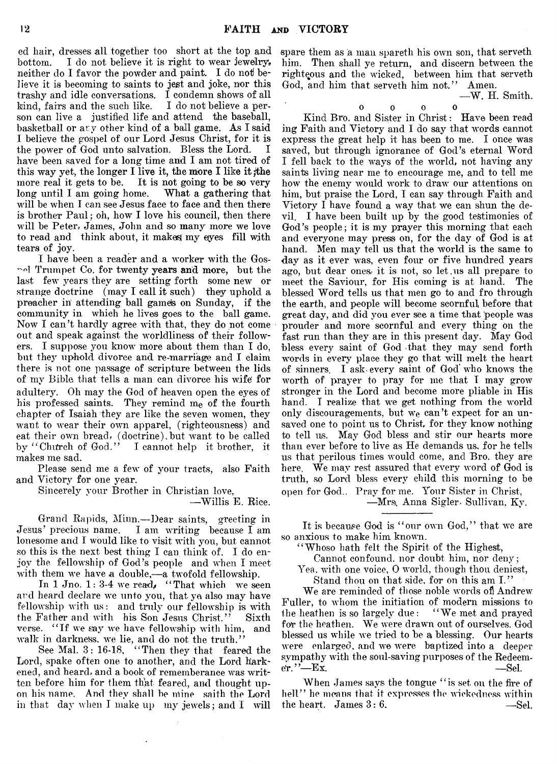ed hair, dresses all together too short at the top and bottom. I do not believe it is right to wear jewelry, neither do I favor the powder and paint. I do not believe it is becoming to saints to jest and joke, nor this trashy and idle conversations. I condemn shows of all kind, fairs and the such like. I do not believe a person can live a justified life and attend the baseball, basketball or ary other kind of a ball game. As I said I believe the gospel of our Lord Jesus Christ, for it is the power of God unto salvation. Bless the Lord. I have been saved for a long time and I am not tired of this way yet, the longer I live it, the more I like it ;the more real it gets to be. It is not going to be so very long until I am going home. What a gathering that will be when I can see Jesus face to face and then there is brother Paul; oh, how I love his council, then there will be Peter, James, John and so many more we love to read and think about, it makes my eyes fill with tears of joy.

I have been a reader and a worker with the Gos-  $\sim$ el Trumpet Co. for twenty years and more, but the last- few years they are setting forth some new or strange doctrine (may I call it such) they uphold a preacher in attending ball gamels on Sunday, if the community in which he lives goes to the ball game. Now I can't hardly agree with that, they do not come out and speak against the worldliness of their followers. I suppose you know more about them than I do, but they uphold divorce and re-marriage and I claim there is not one passage of scripture between the lids of my Bible that tells a man can divorce his wife for adultery. Oh may the God of heaven open the eyes of his professed saints. They remind me of the fourth chapter of Isaiah they are like the seven women, they want to wear their own apparel, (righteousness) and eat their own bread, (doctrine),but want to be called by "Church of God." I cannot help it brother, it makes me sad.

Please send me a few of your tracts, also Faith and Victory for one year.

Sincerely your Brother in Christian love,

Grand Rapids, Minn.— Dear saints, greeting in Jesus' precious name. I am writing because I am lonesome and I would like to visit with you, but cannot so this is the next best thing I can think of. I do enjoy the fellowship of God's people and when I meet with them we have a double,— a twofold fellowship.

In 1 Jno.  $1:3-4$  we read, "That which we seen and heard declare we unto you, that ye also may have fellowship with us: and truly our fellowship is with the Father and with his Son Jesus Christ." Sixth verse. " If we say we have fellowship with him, and walk in darkness, we lie, and do not the truth.'

See Mai. 3: 16-18, " Then they that feared the Lord, spake often one to another, and the Lord harkened, and heard, and a book of rememberance was written before him for them that feared, and thought upon his name. And they shall be mine saith the Lord in that day when 1 make up my jewels; and I will

spare them as a man spareth his own son, that serveth him. Then shall ye return, and discern between the righteous and the wicked, between him that serveth God, and him that serveth him not." Amen. -W. H. Smith.

0 0 0 0

Kind Bro. and Sister in Christ: Have been read ing Faith and Victory and I do say that words cannot express the great help it has been to me. I once was saved, but through ignorance of God's eternal Word I fell back to the ways of the world, not having any saints living near me to encourage me, and to tell me how the enemy would work to draw our attentions on him, but praise the Lord, I can say through Faith and Victory I have found a way that we can shun the devil. I have been built up by the good testimonies of God's people; it is my prayer this morning that each and everyone may press on, for the day of God is at hand. Men may tell us that the world is the same to day as it ever was, even four or five hundred years ago, but dear ones- it is not, so let,us all prepare to meet the Saviour, for His coming is at hand. The blessed Word tells us that men go to and fro through the earth, and people will become scornful, before that great day, and did you ever see a time that people was prouder and more scornful and every thing on the fast run than they are in this present day. May God bless every saint of God that they may send forth words in every place they go that will melt the heart of sinners. I ask-every saint of God who knows the worth of prayer to pray for me that I may grow stronger in the Lord and become more pliable in His hand. I realize that we get nothing from the world only discouragements, but we can't expect for an unsaved one to point us to Christ, for they know nothing to tell us. May God bless and stir our hearts more than ever before to live as He demands us, for he tells us that perilous times would come, and Bro. they are here. We may rest assured that every word of God is truth, so Lord bless every child this morning to be open for God.. Pray for me. Your Sister in Christ,

—Mrs\. Anna Sigler. Sullivan, Ky.

It is because God is "our own God," that we are so anxious to make him known.

" Whoso hath felt the Spirit of the Highest,

Cannot confound, nor doubt him, nor deny;

Yea. with one voice, 0 world, though thou deniest, Stand thou on that side, for on this am I."

We are reminded of those noble words of Andrew Fuller, to whom the initiation of modern missions to the heathen is so largely due: " We met and prayed for the heathen. We were drawn out of ourselves. God blessed us while we tried to be a, blessing. Our hearts were enlarged, and we were baptized into a deeper sympathy with the soul-saving purposes of the Redeem $e$ r. ''—Ex. —Sel.

When James says the tongue "is set on the fire of hell" he means that it expresses the wickedness within the heart. James  $3:6$ .  $-$ Sel.

<sup>—</sup>Willis E. Rice.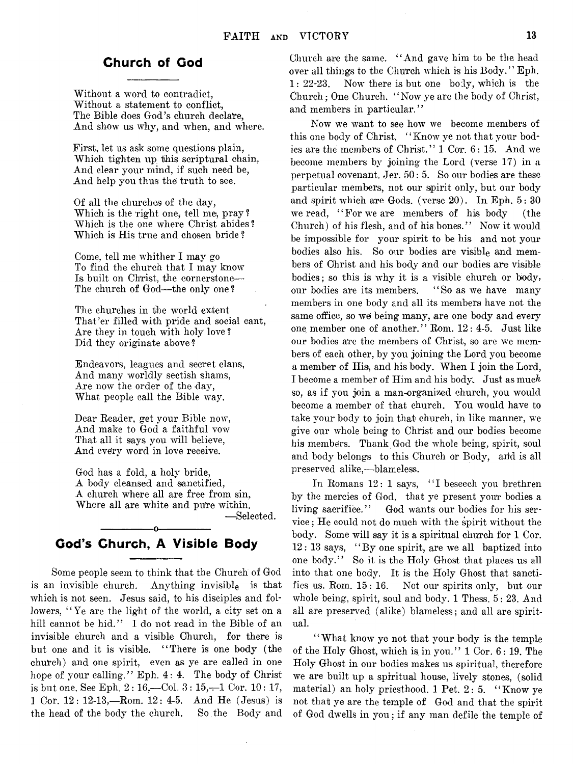## Church of Cod

Without a word to contradict, Without a statement to conflict, The Bible does God's church declare, And show us why, and when, and where.

First, let us ask some questions plain, Which tighten up this scriptural chain, And clear your mind, if such need be, And help you thus the truth to see.

Of all the churches of the day, Which is the right one, tell me, pray? Which is the one where Christ abides? Which is His true and chosen bride ?

Come, tell me whither I may go To find the church that I may know Is built on Christ, the cornerstone— The church of God—the only one?

The churches in tihe world extent That'er filled with pride and social cant, Are they in touch with holy love ? Did they originate above ?

Endeavors, leagues and secret clans, And many worldly sectish shams, Are now the order of the day, What people call the Bible way.

Dear Reader, get your Bible now, And make to God a faithful vow That all it says you will believe, And every word in love receive.

God has a fold, a holy bride, A body cleansed and sanctified, A church where all are free from sin, Where all are white and pure within. — Selected.

## -----------------o----------------- God's Church, A Visible Body

Some people seem to think that the Church of God is an invisible church. Anything invisible is that which is not seen. Jesus said, to his disciples and followers, "Ye are the light of the world, a city set on a hill cannot be hid." I do not read in the Bible of an invisible church and a visible Church, for there is but one and it is visible. " There is one body (the church) and one spirit, even as ye are called in one hope of your calling." Eph. 4: 4. The body of Christ is but one. See Eph.  $2:16$ —Col.  $3:15$ —1 Cor. 10: 17, 1 Cor. 12: 12-13,—Rom. 12: 4-5. And He (Jesus) is the head of the body the church. So the Body and

Church are the same. " And gave him to be the head over all things to the Church which is his Body." Eph. 1: 22-23. Now there is but one body, which is the Church; One Church. " Now ye are the body of Christ, and members in particular."

Now we want to see how we become members of this one body of Christ. "Know ye not that your bodies are the members of Christ." 1 Cor. 6: 15. And we become members by joining the Lord (verse 17) in a perpetual covenant. Jer. 50: 5. So our bodies are these particular members, not our spirit only, but our body and spirit which are Gods. (verse  $20$ ). In Eph.  $5:30$ we read, "For we are members of his body (the Church) of his flesh, and of his bones." Now it would be impossible for your spirit to be his and not your bodies also his. So our bodies are visible and members of Christ and his body and our bodies are visible bodies; so this is why it is a visible church or body, our bodies are its members. "So as we have many members in one body and all its members have not the same office, so we being many, are one body and every one, member one of another." Rom. 12: 4-5. Just like our bodies are the members of Christ, so are we members of each other, by you joining the Lord you become a member of His, and his body. When I join the Lord, I become a member of Him and his body. Just as much so, as if you join a man-organized church, you would become a member of that church. You would have to take your body to join that church, in like manner, we give our whole being to Christ and our bodies become his members. Thank God the whole being, spirit, soul and body belongs to this Church or Body, arid is all preserved alike,—blameless.

In Romans 12: 1 says, "I beseech you brethren by the mercies of God, that ye present your bodies a living sacrifice." God wants our bodies for his service ; He could not do much with the spirit without the body. Some will say it is a spiritual church for 1 Cor. 12: 13 says, " By one spirit, are we all baptized into one body." So it is the Holy Ghost that places us all into that one body. It is the Holy Ghost that sanctifies us. Rom. 15 : 16. Not our spirits only, but our whole being, spirit, soul and body. 1 Thess. 5: 23. And all are preserved (alike) blameless; and all are spiritual.

" What know ye not that your body is the temple of the Holy Ghost, which is in you." 1 Cor. 6: 19. The Holy Ghost in our bodies makes us spiritual, therefore we are built up a spiritual house, lively stones, (solid material) an holy priesthood. 1 Pet. 2: 5. " Know ye not that ye are the temple of God and that the spirit of God dwells in you; if any man defile the temple of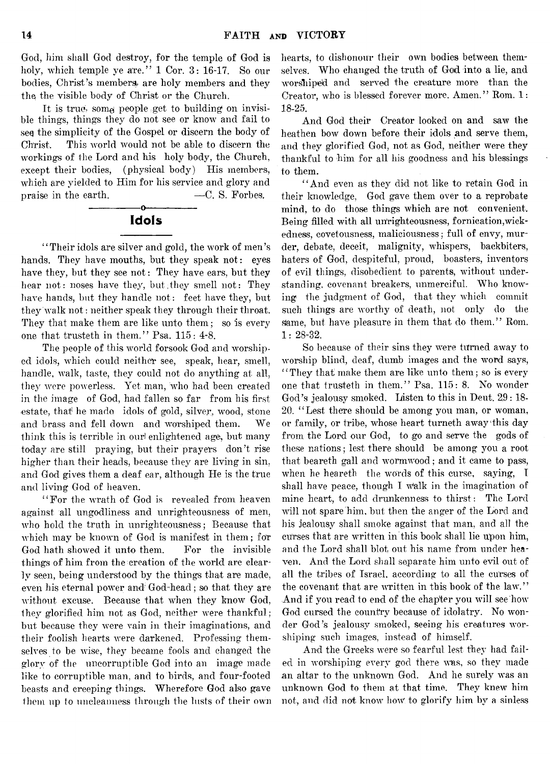God, him shall God destroy, for the temple of God is holy, which temple ye are." 1 Cor. 3: 16-17. So our bodies, Christ's members are holy members and they the the visible body of Christ or the Church.

It is true, some people get to building on invisible thing's, things they do not see or know and fail to seq the simplicity of the Gospel or discern the body of Christ. This world would not be able to discern the workings of the Lord and his holy body, the Church, except their bodies, (physical body) His members, which are yielded to Him for his service and glory and praise in the earth.  $\qquad \qquad -C. \text{ S. Forbes.}$ 

## -----------------o---------------- Idols

' ' Their idols are silver and gold, the work of men's hands. They have mouths, but they speak not: eyes have they, but they see not: They have ears, but they hear not: noses have they, but they smell not: They have hands, but they handle not: feet have they, but they walk not: neither speak they through their throat. They that make them are like unto them; so is every one that trusteth in them." Psa. 115: 4-8.

The people of this world forsook God and worshiped idols, which could neither see, speak, hear, smell, handle, walk, taste, they could not do anything at all, they were powerless. Yet man, who had been created in the image of God, had fallen so far from his first -estate, that he made idols of gold, silver, wood, stone and brass and fell down and worshiped them. We think this is terrible in ourl enlightened age; but many today are still praying, but their prayers don't rise higher than their heads, because they are living in sin, and God gives them a deaf ear, although He is the true and living God of heaven.

"For the wrath of God is revealed from heaven against all ungodliness and unrighteousness of men, who hold the truth in unrighteousness; Because that which may be known of God is manifest in them; for God hath showed it unto them. For the invisible things of him from the creation of the world are clearly seen, being understood by the things that are made, even his eternal power and' God-head; so that they are without excuse. Because that when they know God, they glorified him not as God, neither were thankful; but because they were vain in their imaginations, and their foolish hearts were darkened. Professing themselves to be wise, they became fools and changed the glory of the uncorruptible God into an image made like to corruptible man, and to birds, and four-footed beasts and creeping things. Wherefore God also gave them up to uncleamiess through the lusts of their own hearts, to dishonour their own bodies between themselves. Who changed the truth of God into a lie, and worshiped and 'served the creature more than the Creator, who is blessed forever more. Amen." Rom. 1: 18-25.

And God their Creator looked on and saw the heathen bow down before their idols and serve them, and they glorified God, not as God, neither were they thankful to him for all his goodness and his blessings to them.

" And even as they did not like to retain God in their knowledge, God gave them over to a reprobate mind, to do those things which are not convenient. Being filled with all unrighteousness, fornication,wickedness, covetousness, maliciousness; full of envy, murder, debate, deceit, malignity, whispers, backbiters, haters of God, despiteful, proud, boasters, inventors of evil things, disobedient to parents, without understanding, covenant breakers, unmerciful. Who knowing the judgment of God, that they which commit such things are worthy of death, not only do the same, but have pleasure in them that do them." Rom. 1: 28-32.

So because of their sins they were turned away to worship blind, deaf, dumb images and the word says, " They that make them are like unto them; so is every one that trusteth in them." Psa. 115: 8. No wonder God's jealousy smoked. Listen to this in Deut. 29:18-20. " Lest there should be among you man, or woman, or family, or tribe, whose heart turneth away'this day from the Lord our God, to go and serve the gods of these nations; lest there should be among you a root that beareth gall and wormwood; and it came to pass, when he beareth the words of this curse, saying, I shall have peace, though I walk in the imagination of mine heart, to add drunkenness to thirst: The Lord will not spare him, but then the anger of the Lord and his jealousy shall smoke against that man, and all the cu'rses that are written in this book shall lie upon him, and the Lord shall blot, out his name from under heaven. And the Lord shall separate him unto evil out of all the tribes of Israel, according to all the curses of the covenant that are written in this book of the law." And if you read to end of the chapter you will see how God cursed the country because of idolatry. No wonder God's jealousy smoked, seeing his creatures worshiping such images, instead of himself.

And the Greeks were so fearful lest they had failed in worshiping every god there was, so they made an altar to the unknown God. And he surely was an unknown God to them at that time. They knew him not, and did not know how to glorify him by a sinless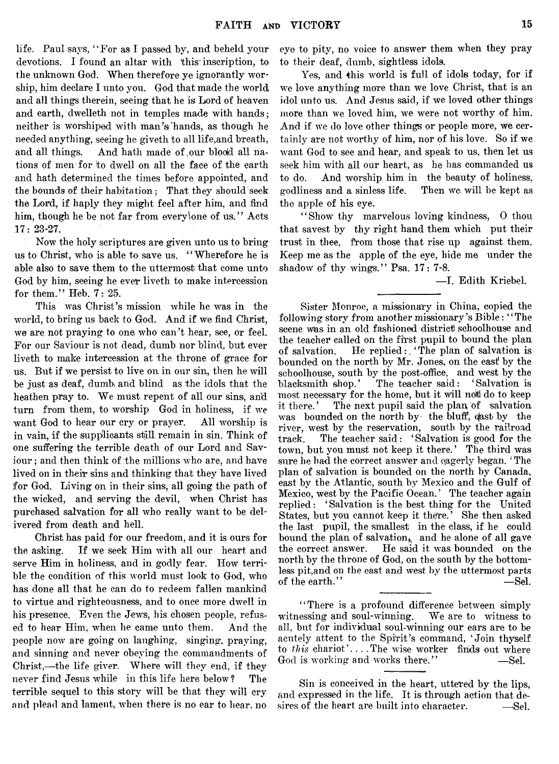life. Paul says, "For as I passed by, and beheld your devotions. I found an altar with this' inscription, to the unknown God. When therefore ye ignorantly worship, him declare I unto you. God that made the world and all things therein, seeing that he is Lord of heaven and earth, dwelleth not in temples made with hands ; neither is worshiped with man's'hands, as though he needed anything, seeing he giveth to all life,and breath, and all things. And hath made of our blood all nations of men for to dwell on all the face of the earth and hath determined the times before appointed, and the bounds of their habitation; That they should seek the Lord, if haply they might feel after him, and find him, though he be not far from every\one of us." Acts 17: 23-27.

Now the holy scriptures are given unto us to bring us to Christ, who is able to save us. " Wherefore he is able also to save them to the uttermost that come unto God by him, seeing he ever liveth to make intercession for them." Heb. 7: 25.

This was Christ's mission while he was in the world, to bring us back to God. And if we find Christ, we are not praying to one who can't hear, see, or feel. For our Saviour is not dead, dumb nor blind, but ever liveth to make intercession at the throne of grace for us. But if we persist to live on in our sin, then he will be just as deaf, dumbi and blind as the idols that the heathen pray to. We must repent of all our sins, and turn from them, to worship God in holiness, if we want God to hear our cry or prayer. All worship is in vain, if the supplicants still, remain in sin. Think of one suffering the terrible death of our Lord and Saviour ; and then think of the millions who are, and have lived on in their sins and thinking that they have lived for God. Living on in their sins, all going the path of the wicked, and serving the devil, when Christ has purchased salvation for all who really want to be delivered from death and hell.

**Christ has paid for our freedom, and it is ours for** the asking. If we seek Him with all our heart and serve **Him in holiness, and in godly fear.** How terrible the condition of this world must look to God, who **has done all that he can do to redeem fallen mankind** to virtue and righteousness, and to once more dwell in **his presence. Even the Jews, his chosen people, refus**ed to hear Him, when he came unto them. And the people now are going on laughing, singing, praying, **and sinning and never obeying the commandments of** Christ,—the life giver. Where will they end, if they never find Jesus while in this life here below? The **terrible sequel to this story will be that they will cry** and plead and lament, when there is no ear to hear, no eye to pity, no voice to answer them when they pray **to their deaf, dumb, sightless idols.**

**Yes, and this world is full of idols today, for if** we love anything more than we love Christ, that is an idol unto us. And Jesus said, if we loved other things more than we loved him, we were not worthy of him. And if we do love other things or people more, we certainly are not worthy of him, nor of his love. So if we **Avant God to see and hear, and speak to us, then let us** seek him with all our heart, as he has commanded us to do. And worship him in the beauty of holiness, godliness and a sinless life. Then we will be kept as **the apple of his eye.**

**" Show thy marvelous loving kindness, 0 thou** that savest by thy right hand them which put their **trust in thee, from those that rise up against them. Keep me as the apple of the eye, hide me, under the** shadow of thy wings." Psa. 17: 7-8.

— I. Edith Kriebel.

**Sister Monroe, a missionary in China, copied the following story from another missionary's Bible: " The** scene was in an old fashioned district schoolhouse and **the teacher called on the first pupil to bound the plan of salvation. He replied:, ' The plan of salvation is bounded on the north by Mr. Jones, on the east by the** schoolhouse, south by the post-office, and west by the **blacksmith shop.' The teacher said: ' Salvation is** most necessary for the home, but it will not do to keep **it there. ' The next pupil said the plan, of salvation** was bounded on the north by the bluff, east by the river, west by the reservation, south by the railroad **track. The teacher said: ' Salvation is good for the** town, but you must not keep it there.' The third was **sure he had the correct answer and qagerly began. ' The plan of salvation is bounded on the north by Canada, east by the Atlantic, south by Mexico and the Gulf of** Mexico, west by the Pacific Ocean.' The teacher again **replied : ' Salvation is the best thing for the United** States, but you cannot keep it there.' She then asked **the last pupil, the smallest in the class, if he could** bound the plan of salvation, and he alone of all gave the correct answer. He said it was bounded on the **north by the throne of God, on the south by the bottom**less pit,and on the east and west by the uttermost parts  $\epsilon$  of the earth."  $\qquad \qquad -\text{Sel}$ .

**" There is a profound difference between simply** witnessing and soul-winning. We are to witness to **all, but for individual soul-winning our ears are to be acutely attent to the Spirit's command, ' Join thyself to this chariot'....The wise worker finds out where** God is working and works there." — Sel.

Sin is conceived in the heart, uttered by the lips, and expressed in the life. It is through action that desires of the heart are built into character.  $—\mathcal{S}_{el.}$